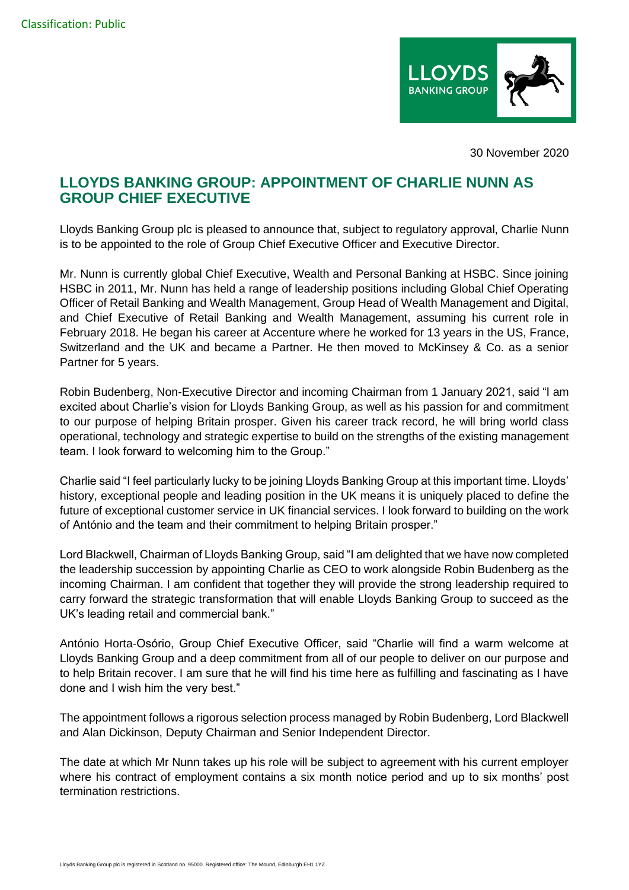

30 November 2020

## **LLOYDS BANKING GROUP: APPOINTMENT OF CHARLIE NUNN AS GROUP CHIEF EXECUTIVE**

Lloyds Banking Group plc is pleased to announce that, subject to regulatory approval, Charlie Nunn is to be appointed to the role of Group Chief Executive Officer and Executive Director.

Mr. Nunn is currently global Chief Executive, Wealth and Personal Banking at HSBC. Since joining HSBC in 2011, Mr. Nunn has held a range of leadership positions including Global Chief Operating Officer of Retail Banking and Wealth Management, Group Head of Wealth Management and Digital, and Chief Executive of Retail Banking and Wealth Management, assuming his current role in February 2018. He began his career at Accenture where he worked for 13 years in the US, France, Switzerland and the UK and became a Partner. He then moved to McKinsey & Co. as a senior Partner for 5 years.

Robin Budenberg, Non-Executive Director and incoming Chairman from 1 January 2021, said "I am excited about Charlie's vision for Lloyds Banking Group, as well as his passion for and commitment to our purpose of helping Britain prosper. Given his career track record, he will bring world class operational, technology and strategic expertise to build on the strengths of the existing management team. I look forward to welcoming him to the Group."

Charlie said "I feel particularly lucky to be joining Lloyds Banking Group at this important time. Lloyds' history, exceptional people and leading position in the UK means it is uniquely placed to define the future of exceptional customer service in UK financial services. I look forward to building on the work of António and the team and their commitment to helping Britain prosper."

Lord Blackwell, Chairman of Lloyds Banking Group, said "I am delighted that we have now completed the leadership succession by appointing Charlie as CEO to work alongside Robin Budenberg as the incoming Chairman. I am confident that together they will provide the strong leadership required to carry forward the strategic transformation that will enable Lloyds Banking Group to succeed as the UK's leading retail and commercial bank."

António Horta-Osório, Group Chief Executive Officer, said "Charlie will find a warm welcome at Lloyds Banking Group and a deep commitment from all of our people to deliver on our purpose and to help Britain recover. I am sure that he will find his time here as fulfilling and fascinating as I have done and I wish him the very best."

The appointment follows a rigorous selection process managed by Robin Budenberg, Lord Blackwell and Alan Dickinson, Deputy Chairman and Senior Independent Director.

The date at which Mr Nunn takes up his role will be subject to agreement with his current employer where his contract of employment contains a six month notice period and up to six months' post termination restrictions.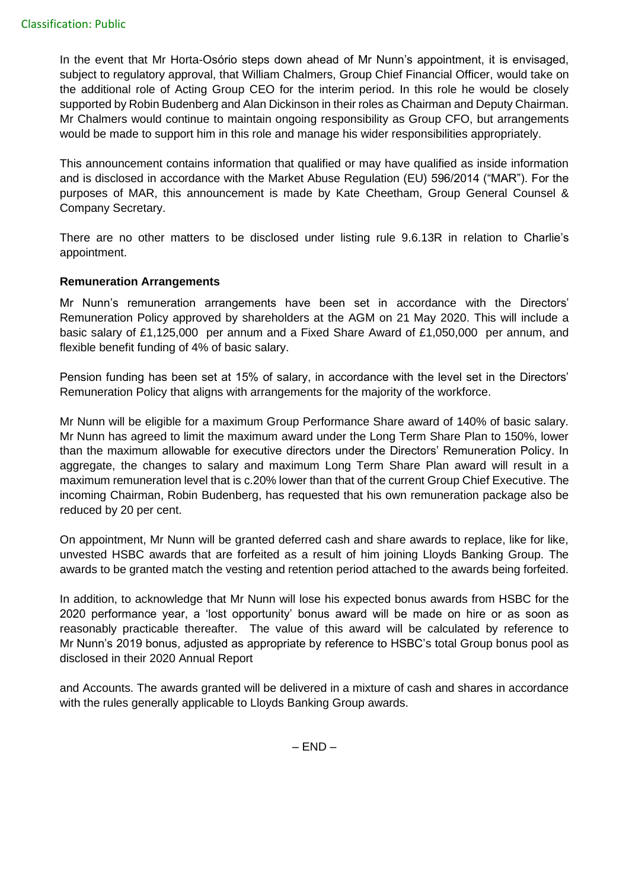In the event that Mr Horta-Osório steps down ahead of Mr Nunn's appointment, it is envisaged, subject to regulatory approval, that William Chalmers, Group Chief Financial Officer, would take on the additional role of Acting Group CEO for the interim period. In this role he would be closely supported by Robin Budenberg and Alan Dickinson in their roles as Chairman and Deputy Chairman. Mr Chalmers would continue to maintain ongoing responsibility as Group CFO, but arrangements would be made to support him in this role and manage his wider responsibilities appropriately.

This announcement contains information that qualified or may have qualified as inside information and is disclosed in accordance with the Market Abuse Regulation (EU) 596/2014 ("MAR"). For the purposes of MAR, this announcement is made by Kate Cheetham, Group General Counsel & Company Secretary.

There are no other matters to be disclosed under listing rule 9.6.13R in relation to Charlie's appointment.

## **Remuneration Arrangements**

Mr Nunn's remuneration arrangements have been set in accordance with the Directors' Remuneration Policy approved by shareholders at the AGM on 21 May 2020. This will include a basic salary of £1,125,000 per annum and a Fixed Share Award of £1,050,000 per annum, and flexible benefit funding of 4% of basic salary.

Pension funding has been set at 15% of salary, in accordance with the level set in the Directors' Remuneration Policy that aligns with arrangements for the majority of the workforce.

Mr Nunn will be eligible for a maximum Group Performance Share award of 140% of basic salary. Mr Nunn has agreed to limit the maximum award under the Long Term Share Plan to 150%, lower than the maximum allowable for executive directors under the Directors' Remuneration Policy. In aggregate, the changes to salary and maximum Long Term Share Plan award will result in a maximum remuneration level that is c.20% lower than that of the current Group Chief Executive. The incoming Chairman, Robin Budenberg, has requested that his own remuneration package also be reduced by 20 per cent.

On appointment, Mr Nunn will be granted deferred cash and share awards to replace, like for like, unvested HSBC awards that are forfeited as a result of him joining Lloyds Banking Group. The awards to be granted match the vesting and retention period attached to the awards being forfeited.

In addition, to acknowledge that Mr Nunn will lose his expected bonus awards from HSBC for the 2020 performance year, a 'lost opportunity' bonus award will be made on hire or as soon as reasonably practicable thereafter. The value of this award will be calculated by reference to Mr Nunn's 2019 bonus, adjusted as appropriate by reference to HSBC's total Group bonus pool as disclosed in their 2020 Annual Report

and Accounts. The awards granted will be delivered in a mixture of cash and shares in accordance with the rules generally applicable to Lloyds Banking Group awards.

 $-$  END  $-$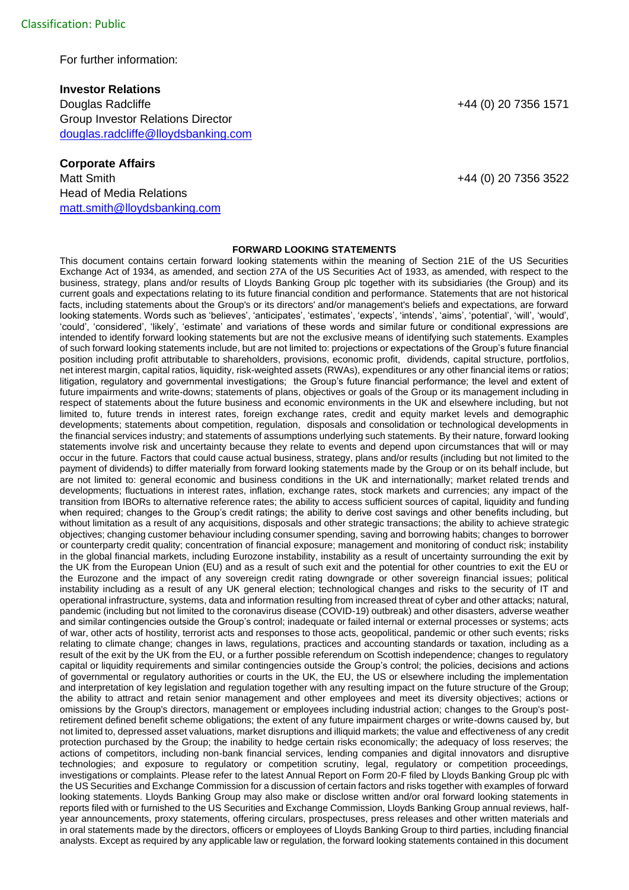For further information:

**Investor Relations** Douglas Radcliffe +44 (0) 20 7356 1571 Group Investor Relations Director [douglas.radcliffe@lloydsbanking.com](mailto:douglas.radcliffe@lloydsbanking.com)

## **Corporate Affairs**

Head of Media Relations [matt.smith@lloydsbanking.com](mailto:matt.smith@lloydsbanking.com)

Matt Smith +44 (0) 20 7356 3522

## **FORWARD LOOKING STATEMENTS**

This document contains certain forward looking statements within the meaning of Section 21E of the US Securities Exchange Act of 1934, as amended, and section 27A of the US Securities Act of 1933, as amended, with respect to the business, strategy, plans and/or results of Lloyds Banking Group plc together with its subsidiaries (the Group) and its current goals and expectations relating to its future financial condition and performance. Statements that are not historical facts, including statements about the Group's or its directors' and/or management's beliefs and expectations, are forward looking statements. Words such as 'believes', 'anticipates', 'estimates', 'expects', 'intends', 'aims', 'potential', 'will', 'would', 'could', 'considered', 'likely', 'estimate' and variations of these words and similar future or conditional expressions are intended to identify forward looking statements but are not the exclusive means of identifying such statements. Examples of such forward looking statements include, but are not limited to: projections or expectations of the Group's future financial position including profit attributable to shareholders, provisions, economic profit, dividends, capital structure, portfolios, net interest margin, capital ratios, liquidity, risk-weighted assets (RWAs), expenditures or any other financial items or ratios; litigation, regulatory and governmental investigations; the Group's future financial performance; the level and extent of future impairments and write-downs; statements of plans, objectives or goals of the Group or its management including in respect of statements about the future business and economic environments in the UK and elsewhere including, but not limited to, future trends in interest rates, foreign exchange rates, credit and equity market levels and demographic developments; statements about competition, regulation, disposals and consolidation or technological developments in the financial services industry; and statements of assumptions underlying such statements. By their nature, forward looking statements involve risk and uncertainty because they relate to events and depend upon circumstances that will or may occur in the future. Factors that could cause actual business, strategy, plans and/or results (including but not limited to the payment of dividends) to differ materially from forward looking statements made by the Group or on its behalf include, but are not limited to: general economic and business conditions in the UK and internationally; market related trends and developments; fluctuations in interest rates, inflation, exchange rates, stock markets and currencies; any impact of the transition from IBORs to alternative reference rates; the ability to access sufficient sources of capital, liquidity and funding when required; changes to the Group's credit ratings; the ability to derive cost savings and other benefits including, but without limitation as a result of any acquisitions, disposals and other strategic transactions; the ability to achieve strategic objectives; changing customer behaviour including consumer spending, saving and borrowing habits; changes to borrower or counterparty credit quality; concentration of financial exposure; management and monitoring of conduct risk; instability in the global financial markets, including Eurozone instability, instability as a result of uncertainty surrounding the exit by the UK from the European Union (EU) and as a result of such exit and the potential for other countries to exit the EU or the Eurozone and the impact of any sovereign credit rating downgrade or other sovereign financial issues; political instability including as a result of any UK general election; technological changes and risks to the security of IT and operational infrastructure, systems, data and information resulting from increased threat of cyber and other attacks; natural, pandemic (including but not limited to the coronavirus disease (COVID-19) outbreak) and other disasters, adverse weather and similar contingencies outside the Group's control; inadequate or failed internal or external processes or systems; acts of war, other acts of hostility, terrorist acts and responses to those acts, geopolitical, pandemic or other such events; risks relating to climate change; changes in laws, regulations, practices and accounting standards or taxation, including as a result of the exit by the UK from the EU, or a further possible referendum on Scottish independence; changes to regulatory capital or liquidity requirements and similar contingencies outside the Group's control; the policies, decisions and actions of governmental or regulatory authorities or courts in the UK, the EU, the US or elsewhere including the implementation and interpretation of key legislation and regulation together with any resulting impact on the future structure of the Group; the ability to attract and retain senior management and other employees and meet its diversity objectives; actions or omissions by the Group's directors, management or employees including industrial action; changes to the Group's postretirement defined benefit scheme obligations; the extent of any future impairment charges or write-downs caused by, but not limited to, depressed asset valuations, market disruptions and illiquid markets; the value and effectiveness of any credit protection purchased by the Group; the inability to hedge certain risks economically; the adequacy of loss reserves; the actions of competitors, including non-bank financial services, lending companies and digital innovators and disruptive technologies; and exposure to regulatory or competition scrutiny, legal, regulatory or competition proceedings, investigations or complaints. Please refer to the latest Annual Report on Form 20-F filed by Lloyds Banking Group plc with the US Securities and Exchange Commission for a discussion of certain factors and risks together with examples of forward looking statements. Lloyds Banking Group may also make or disclose written and/or oral forward looking statements in reports filed with or furnished to the US Securities and Exchange Commission, Lloyds Banking Group annual reviews, halfyear announcements, proxy statements, offering circulars, prospectuses, press releases and other written materials and in oral statements made by the directors, officers or employees of Lloyds Banking Group to third parties, including financial analysts. Except as required by any applicable law or regulation, the forward looking statements contained in this document